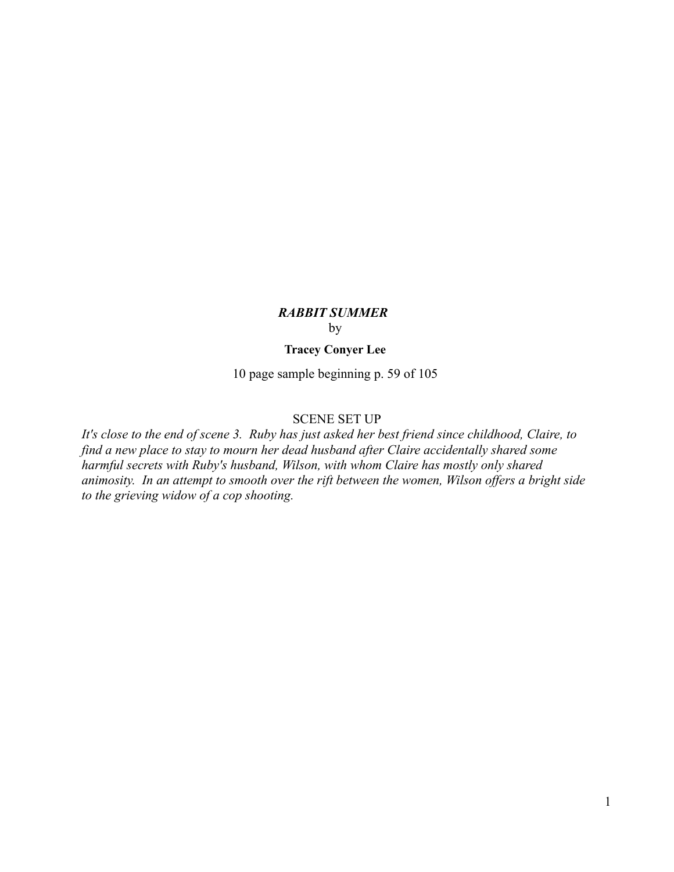# *RABBIT SUMMER*  by

# **Tracey Conyer Lee**

10 page sample beginning p. 59 of 105

#### SCENE SET UP

*It's close to the end of scene 3. Ruby has just asked her best friend since childhood, Claire, to find a new place to stay to mourn her dead husband after Claire accidentally shared some harmful secrets with Ruby's husband, Wilson, with whom Claire has mostly only shared animosity. In an attempt to smooth over the rift between the women, Wilson offers a bright side to the grieving widow of a cop shooting.*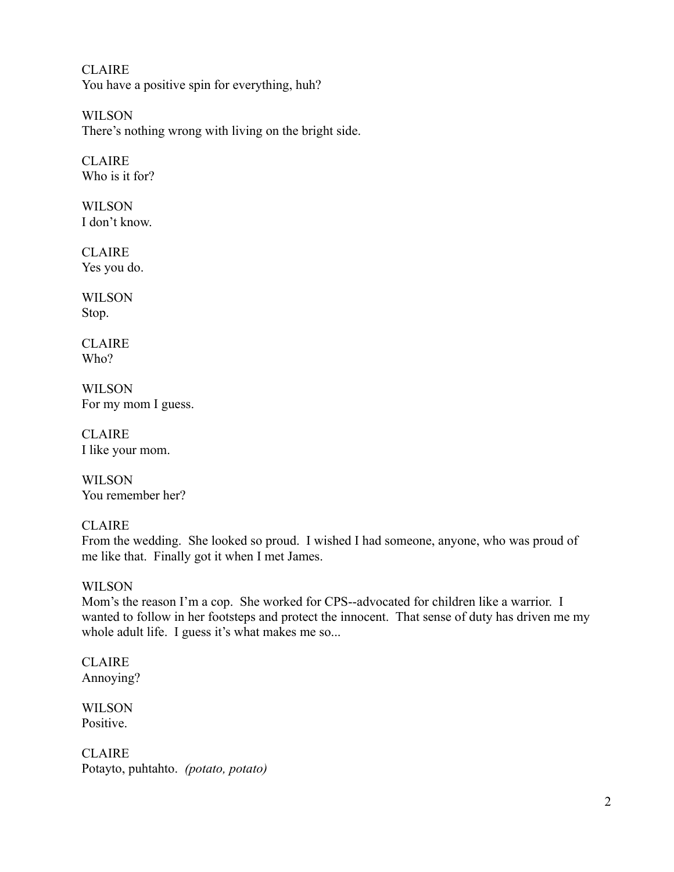CLAIRE You have a positive spin for everything, huh?

WILSON There's nothing wrong with living on the bright side.

**CLAIRE** Who is it for?

WILSON I don't know.

CLAIRE Yes you do.

**WILSON** Stop.

CLAIRE Who?

WILSON For my mom I guess.

CLAIRE I like your mom.

WILSON You remember her?

# CLAIRE

From the wedding. She looked so proud. I wished I had someone, anyone, who was proud of me like that. Finally got it when I met James.

## **WILSON**

Mom's the reason I'm a cop. She worked for CPS--advocated for children like a warrior. I wanted to follow in her footsteps and protect the innocent. That sense of duty has driven me my whole adult life. I guess it's what makes me so...

CLAIRE Annoying?

WILSON Positive.

**CLAIRE** Potayto, puhtahto. *(potato, potato)*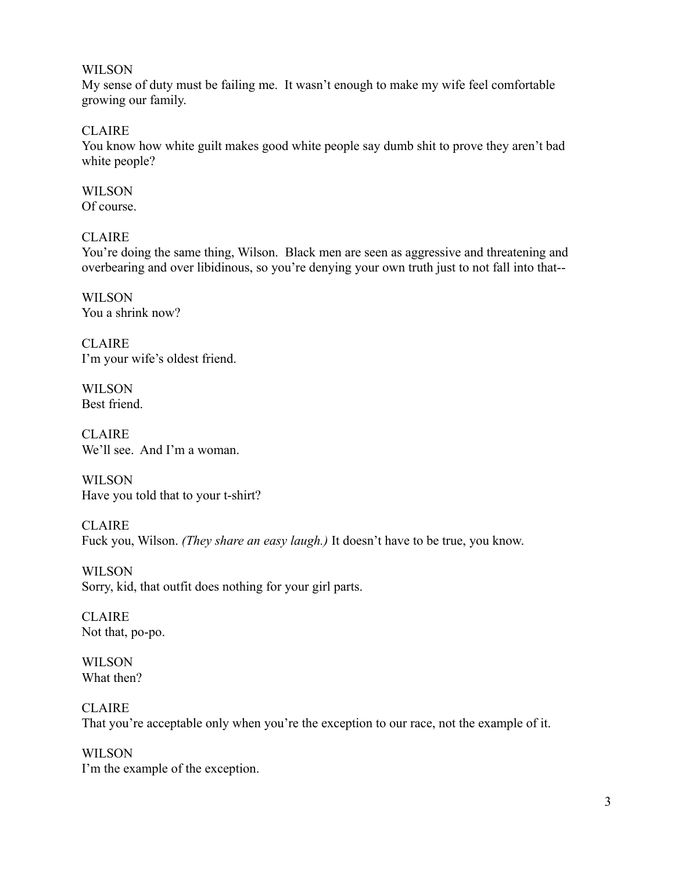#### WILSON

My sense of duty must be failing me. It wasn't enough to make my wife feel comfortable growing our family.

**CLAIRE** 

You know how white guilt makes good white people say dumb shit to prove they aren't bad white people?

**WILSON** Of course.

#### CLAIRE

You're doing the same thing, Wilson. Black men are seen as aggressive and threatening and overbearing and over libidinous, so you're denying your own truth just to not fall into that--

**WILSON** You a shrink now?

CLAIRE I'm your wife's oldest friend.

WILSON Best friend.

CLAIRE. We'll see. And I'm a woman.

WILSON Have you told that to your t-shirt?

CLAIRE Fuck you, Wilson. *(They share an easy laugh.)* It doesn't have to be true, you know.

WILSON Sorry, kid, that outfit does nothing for your girl parts.

CLAIRE Not that, po-po.

WILSON What then?

CLAIRE That you're acceptable only when you're the exception to our race, not the example of it.

WILSON I'm the example of the exception.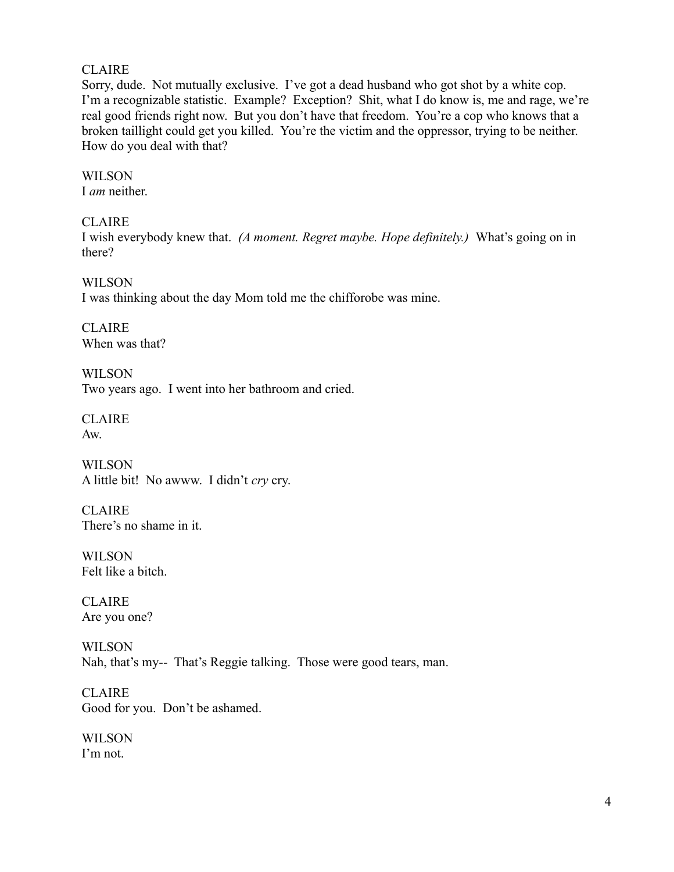#### CLAIRE

Sorry, dude. Not mutually exclusive. I've got a dead husband who got shot by a white cop. I'm a recognizable statistic. Example? Exception? Shit, what I do know is, me and rage, we're real good friends right now. But you don't have that freedom. You're a cop who knows that a broken taillight could get you killed. You're the victim and the oppressor, trying to be neither. How do you deal with that?

WILSON I *am* neither.

CLAIRE

I wish everybody knew that. *(A moment. Regret maybe. Hope definitely.)* What's going on in there?

WILSON I was thinking about the day Mom told me the chifforobe was mine.

CLAIRE When was that?

**WILSON** Two years ago. I went into her bathroom and cried.

CLAIRE Aw.

WILSON A little bit! No awww. I didn't *cry* cry.

**CLAIRE** There's no shame in it.

WILSON Felt like a bitch.

CLAIRE Are you one?

**WILSON** Nah, that's my-- That's Reggie talking. Those were good tears, man.

CLAIRE Good for you. Don't be ashamed.

WILSON I'm not.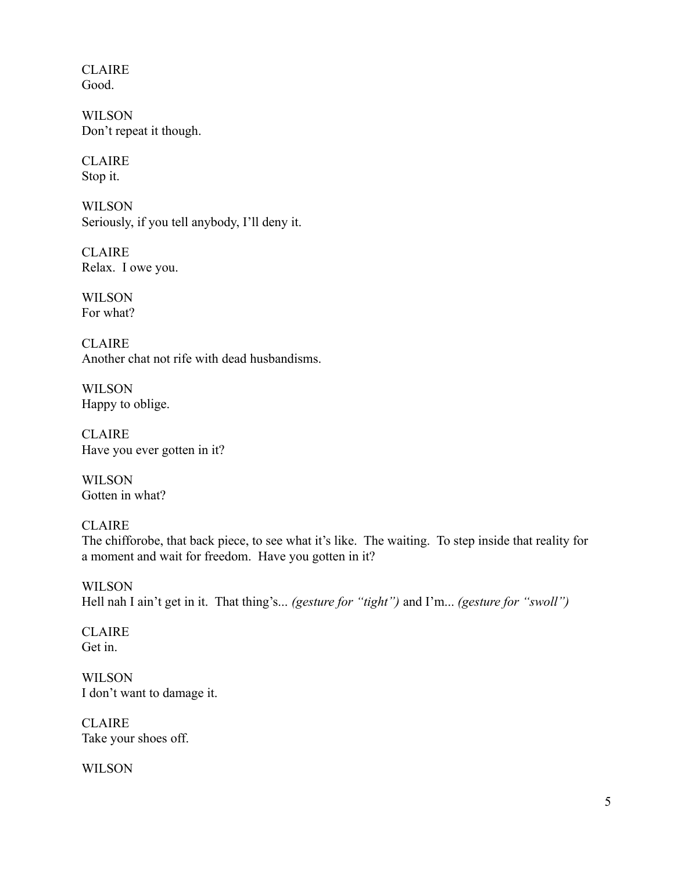CLAIRE Good.

WILSON Don't repeat it though.

CLAIRE Stop it.

WILSON Seriously, if you tell anybody, I'll deny it.

CLAIRE Relax. I owe you.

**WILSON** For what?

CLAIRE Another chat not rife with dead husbandisms.

WILSON Happy to oblige.

CLAIRE Have you ever gotten in it?

WILSON Gotten in what?

CLAIRE The chifforobe, that back piece, to see what it's like. The waiting. To step inside that reality for a moment and wait for freedom. Have you gotten in it?

**WILSON** Hell nah I ain't get in it. That thing's... *(gesture for "tight")* and I'm... *(gesture for "swoll")* 

CLAIRE Get in.

**WILSON** I don't want to damage it.

CLAIRE Take your shoes off.

WILSON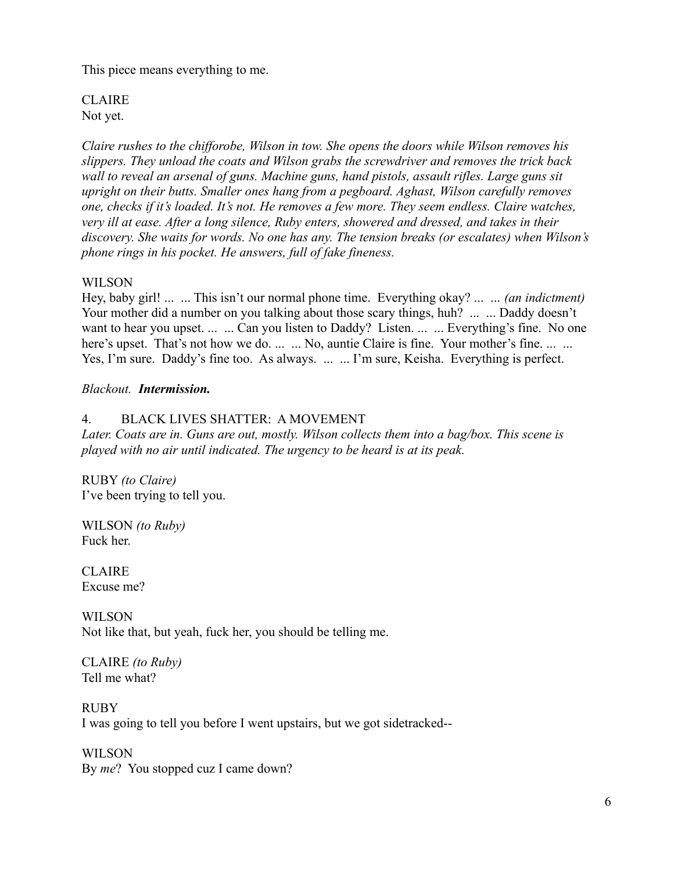This piece means everything to me.

CLAIRE Not yet.

*Claire rushes to the chifforobe, Wilson in tow. She opens the doors while Wilson removes his slippers. They unload the coats and Wilson grabs the screwdriver and removes the trick back wall to reveal an arsenal of guns. Machine guns, hand pistols, assault rifles. Large guns sit upright on their butts. Smaller ones hang from a pegboard. Aghast, Wilson carefully removes one, checks if it's loaded. It's not. He removes a few more. They seem endless. Claire watches, very ill at ease. After a long silence, Ruby enters, showered and dressed, and takes in their discovery. She waits for words. No one has any. The tension breaks (or escalates) when Wilson's phone rings in his pocket. He answers, full of fake fineness.* 

#### WILSON

Hey, baby girl! ... ... This isn't our normal phone time. Everything okay? ... ... *(an indictment)*  Your mother did a number on you talking about those scary things, huh? ... ... Daddy doesn't want to hear you upset. ... ... Can you listen to Daddy? Listen. ... ... Everything's fine. No one here's upset. That's not how we do. ... ... No, auntie Claire is fine. Your mother's fine. ... ... Yes, I'm sure. Daddy's fine too. As always. ... ... I'm sure, Keisha. Everything is perfect.

#### *Blackout. Intermission.*

#### 4. BLACK LIVES SHATTER: A MOVEMENT

*Later. Coats are in. Guns are out, mostly. Wilson collects them into a bag/box. This scene is played with no air until indicated. The urgency to be heard is at its peak.*

RUBY *(to Claire)* I've been trying to tell you.

WILSON *(to Ruby)* Fuck her.

CLAIRE Excuse me?

WILSON Not like that, but yeah, fuck her, you should be telling me.

CLAIRE *(to Ruby)*  Tell me what?

RUBY I was going to tell you before I went upstairs, but we got sidetracked--

WILSON By *me*? You stopped cuz I came down?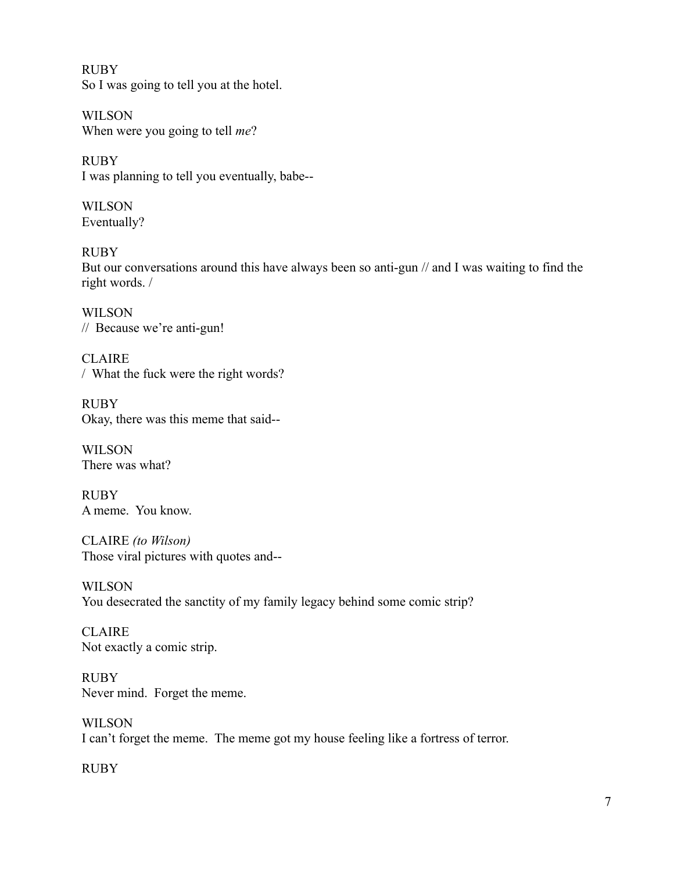RUBY So I was going to tell you at the hotel.

WILSON When were you going to tell *me*?

RUBY I was planning to tell you eventually, babe--

WILSON Eventually?

RUBY But our conversations around this have always been so anti-gun // and I was waiting to find the right words. /

WILSON // Because we're anti-gun!

CLAIRE / What the fuck were the right words?

RUBY Okay, there was this meme that said--

WILSON There was what?

RUBY A meme. You know.

CLAIRE *(to Wilson)* Those viral pictures with quotes and--

WILSON You desecrated the sanctity of my family legacy behind some comic strip?

CLAIRE Not exactly a comic strip.

RUBY Never mind. Forget the meme.

WILSON I can't forget the meme. The meme got my house feeling like a fortress of terror.

RUBY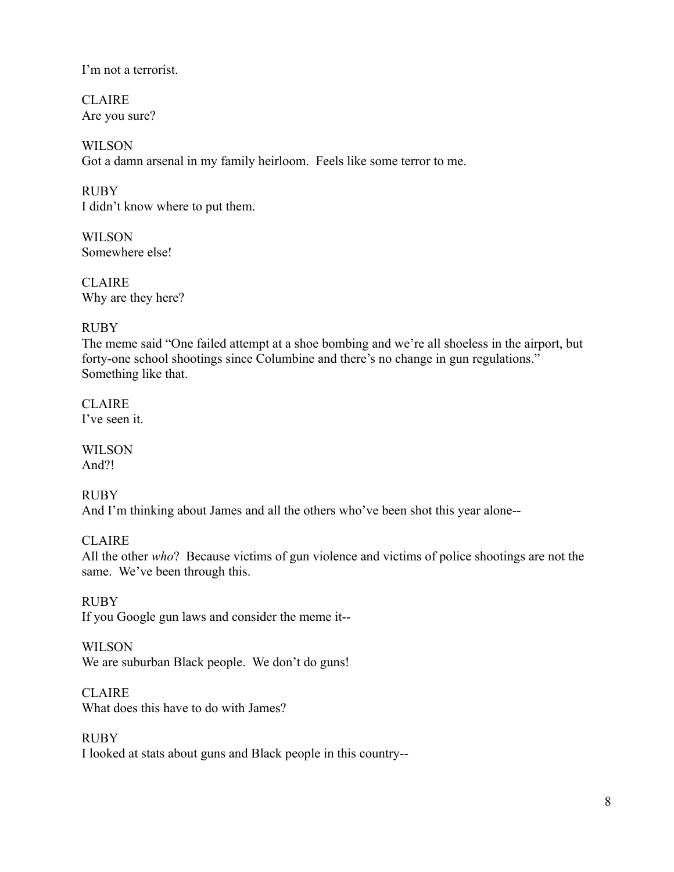I'm not a terrorist.

CLAIRE Are you sure?

**WILSON** Got a damn arsenal in my family heirloom. Feels like some terror to me.

RUBY I didn't know where to put them.

**WILSON** Somewhere else!

CLAIRE. Why are they here?

## RUBY

The meme said "One failed attempt at a shoe bombing and we're all shoeless in the airport, but forty-one school shootings since Columbine and there's no change in gun regulations." Something like that.

CLAIRE I've seen it.

WILSON And?!

## RUBY

And I'm thinking about James and all the others who've been shot this year alone--

## **CLAIRE**

All the other *who*? Because victims of gun violence and victims of police shootings are not the same. We've been through this.

**RUBY** If you Google gun laws and consider the meme it--

## **WILSON**

We are suburban Black people. We don't do guns!

**CLAIRE** 

What does this have to do with James?

## RUBY

I looked at stats about guns and Black people in this country--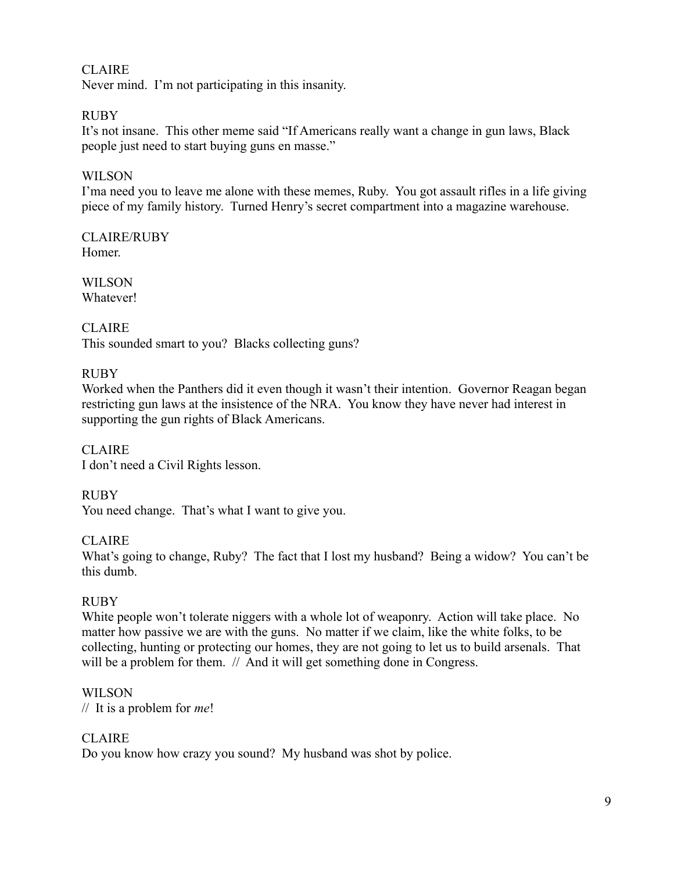## CLAIRE Never mind. I'm not participating in this insanity.

# RUBY

It's not insane. This other meme said "If Americans really want a change in gun laws, Black people just need to start buying guns en masse."

# WILSON

I'ma need you to leave me alone with these memes, Ruby. You got assault rifles in a life giving piece of my family history. Turned Henry's secret compartment into a magazine warehouse.

CLAIRE/RUBY Homer.

WILSON Whatever!

# CLAIRE

This sounded smart to you? Blacks collecting guns?

# RUBY

Worked when the Panthers did it even though it wasn't their intention. Governor Reagan began restricting gun laws at the insistence of the NRA. You know they have never had interest in supporting the gun rights of Black Americans.

CLAIRE I don't need a Civil Rights lesson.

RUBY You need change. That's what I want to give you.

# CLAIRE

What's going to change, Ruby? The fact that I lost my husband? Being a widow? You can't be this dumb.

# RUBY

White people won't tolerate niggers with a whole lot of weaponry. Action will take place. No matter how passive we are with the guns. No matter if we claim, like the white folks, to be collecting, hunting or protecting our homes, they are not going to let us to build arsenals. That will be a problem for them. *//* And it will get something done in Congress.

# WILSON

// It is a problem for *me*!

# CLAIRE

Do you know how crazy you sound? My husband was shot by police.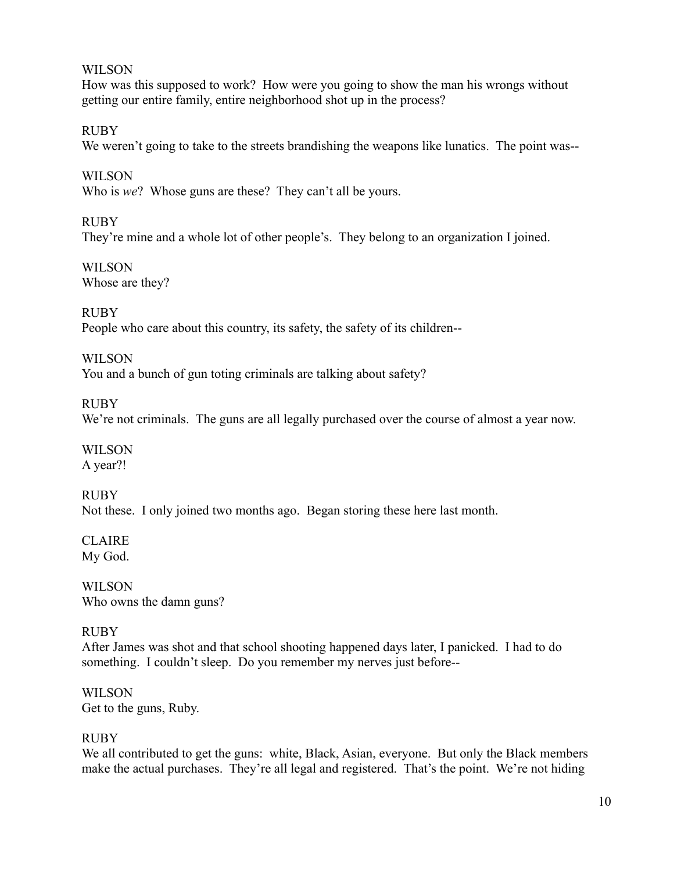#### WILSON

How was this supposed to work? How were you going to show the man his wrongs without getting our entire family, entire neighborhood shot up in the process?

RUBY We weren't going to take to the streets brandishing the weapons like lunatics. The point was--

WILSON Who is *we*? Whose guns are these? They can't all be yours.

RUBY

They're mine and a whole lot of other people's. They belong to an organization I joined.

**WILSON** Whose are they?

RUBY People who care about this country, its safety, the safety of its children--

WILSON You and a bunch of gun toting criminals are talking about safety?

RUBY We're not criminals. The guns are all legally purchased over the course of almost a year now.

**WILSON** A year?!

RUBY Not these. I only joined two months ago. Began storing these here last month.

**CLAIRE** My God.

WILSON Who owns the damn guns?

## RUBY

After James was shot and that school shooting happened days later, I panicked. I had to do something. I couldn't sleep. Do you remember my nerves just before--

WILSON Get to the guns, Ruby.

## RUBY

We all contributed to get the guns: white, Black, Asian, everyone. But only the Black members make the actual purchases. They're all legal and registered. That's the point. We're not hiding